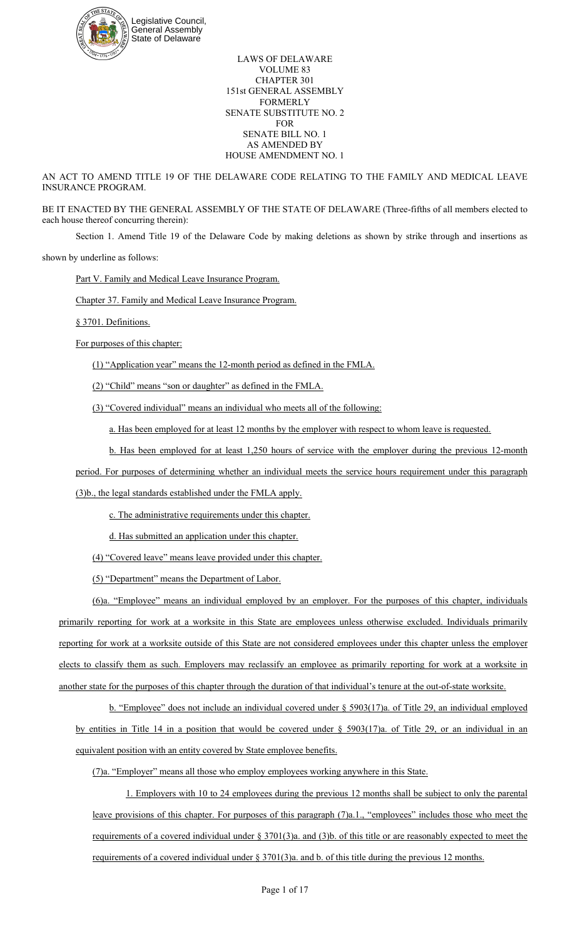

LAWS OF DELAWARE VOLUME 83 CHAPTER 301 151st GENERAL ASSEMBLY FORMERLY SENATE SUBSTITUTE NO. 2 FOR SENATE BILL NO. 1 AS AMENDED BY HOUSE AMENDMENT NO. 1

AN ACT TO AMEND TITLE 19 OF THE DELAWARE CODE RELATING TO THE FAMILY AND MEDICAL LEAVE INSURANCE PROGRAM.

BE IT ENACTED BY THE GENERAL ASSEMBLY OF THE STATE OF DELAWARE (Three-fifths of all members elected to each house thereof concurring therein):

Section 1. Amend Title 19 of the Delaware Code by making deletions as shown by strike through and insertions as

shown by underline as follows:

Part V. Family and Medical Leave Insurance Program.

Chapter 37. Family and Medical Leave Insurance Program.

§ 3701. Definitions.

For purposes of this chapter:

(1) "Application year" means the 12-month period as defined in the FMLA.

(2) "Child" means "son or daughter" as defined in the FMLA.

(3) "Covered individual" means an individual who meets all of the following:

a. Has been employed for at least 12 months by the employer with respect to whom leave is requested.

b. Has been employed for at least 1,250 hours of service with the employer during the previous 12-month

period. For purposes of determining whether an individual meets the service hours requirement under this paragraph

(3)b., the legal standards established under the FMLA apply.

c. The administrative requirements under this chapter.

d. Has submitted an application under this chapter.

(4) "Covered leave" means leave provided under this chapter.

(5) "Department" means the Department of Labor.

(6)a. "Employee" means an individual employed by an employer. For the purposes of this chapter, individuals primarily reporting for work at a worksite in this State are employees unless otherwise excluded. Individuals primarily reporting for work at a worksite outside of this State are not considered employees under this chapter unless the employer elects to classify them as such. Employers may reclassify an employee as primarily reporting for work at a worksite in another state for the purposes of this chapter through the duration of that individual's tenure at the out-of-state worksite.

b. "Employee" does not include an individual covered under  $\S$  5903(17)a. of Title 29, an individual employed by entities in Title 14 in a position that would be covered under  $\S$  5903(17)a. of Title 29, or an individual in an equivalent position with an entity covered by State employee benefits.

(7)a. "Employer" means all those who employ employees working anywhere in this State.

1. Employers with 10 to 24 employees during the previous 12 months shall be subject to only the parental leave provisions of this chapter. For purposes of this paragraph (7)a.1., "employees" includes those who meet the requirements of a covered individual under § 3701(3)a. and (3)b. of this title or are reasonably expected to meet the requirements of a covered individual under § 3701(3)a. and b. of this title during the previous 12 months.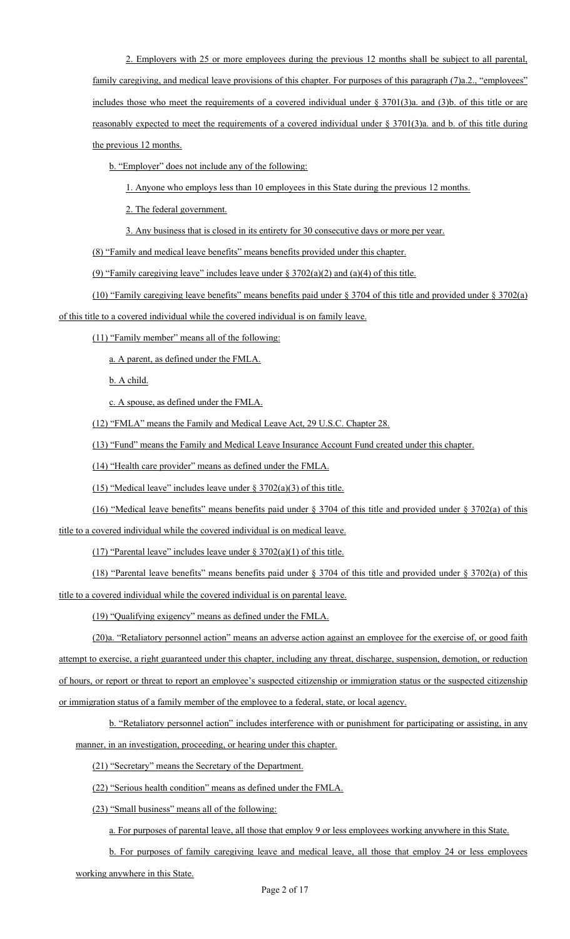2. Employers with 25 or more employees during the previous 12 months shall be subject to all parental, family caregiving, and medical leave provisions of this chapter. For purposes of this paragraph (7)a.2., "employees" includes those who meet the requirements of a covered individual under  $\S$  3701(3)a. and (3)b. of this title or are reasonably expected to meet the requirements of a covered individual under § 3701(3)a. and b. of this title during the previous 12 months.

b. "Employer" does not include any of the following:

1. Anyone who employs less than 10 employees in this State during the previous 12 months.

2. The federal government.

3. Any business that is closed in its entirety for 30 consecutive days or more per year.

(8) "Family and medical leave benefits" means benefits provided under this chapter.

(9) "Family caregiving leave" includes leave under  $\S 3702(a)(2)$  and  $(a)(4)$  of this title.

(10) "Family caregiving leave benefits" means benefits paid under § 3704 of this title and provided under § 3702(a)

of this title to a covered individual while the covered individual is on family leave.

(11) "Family member" means all of the following:

a. A parent, as defined under the FMLA.

b. A child.

c. A spouse, as defined under the FMLA.

(12) "FMLA" means the Family and Medical Leave Act, 29 U.S.C. Chapter 28.

(13) "Fund" means the Family and Medical Leave Insurance Account Fund created under this chapter.

(14) "Health care provider" means as defined under the FMLA.

(15) "Medical leave" includes leave under  $\S 3702(a)(3)$  of this title.

(16) "Medical leave benefits" means benefits paid under § 3704 of this title and provided under § 3702(a) of this

title to a covered individual while the covered individual is on medical leave.

(17) "Parental leave" includes leave under  $\S 3702(a)(1)$  of this title.

(18) "Parental leave benefits" means benefits paid under § 3704 of this title and provided under § 3702(a) of this title to a covered individual while the covered individual is on parental leave.

(19) "Qualifying exigency" means as defined under the FMLA.

(20)a. "Retaliatory personnel action" means an adverse action against an employee for the exercise of, or good faith attempt to exercise, a right guaranteed under this chapter, including any threat, discharge, suspension, demotion, or reduction of hours, or report or threat to report an employee's suspected citizenship or immigration status or the suspected citizenship or immigration status of a family member of the employee to a federal, state, or local agency.

b. "Retaliatory personnel action" includes interference with or punishment for participating or assisting, in any manner, in an investigation, proceeding, or hearing under this chapter.

(21) "Secretary" means the Secretary of the Department.

(22) "Serious health condition" means as defined under the FMLA.

(23) "Small business" means all of the following:

a. For purposes of parental leave, all those that employ 9 or less employees working anywhere in this State.

b. For purposes of family caregiving leave and medical leave, all those that employ 24 or less employees

working anywhere in this State.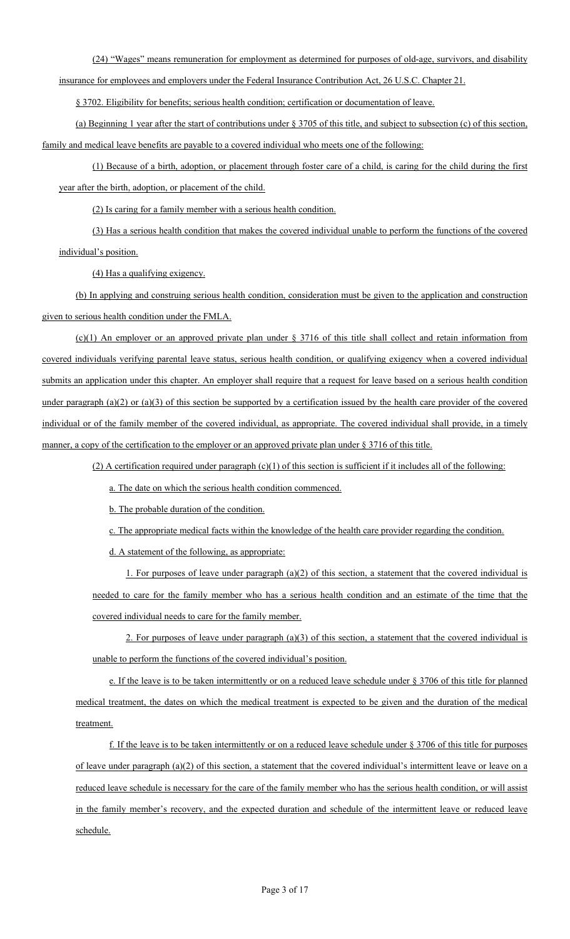(24) "Wages" means remuneration for employment as determined for purposes of old-age, survivors, and disability

insurance for employees and employers under the Federal Insurance Contribution Act, 26 U.S.C. Chapter 21.

§ 3702. Eligibility for benefits; serious health condition; certification or documentation of leave.

(a) Beginning 1 year after the start of contributions under § 3705 of this title, and subject to subsection (c) of this section, family and medical leave benefits are payable to a covered individual who meets one of the following:

(1) Because of a birth, adoption, or placement through foster care of a child, is caring for the child during the first year after the birth, adoption, or placement of the child.

(2) Is caring for a family member with a serious health condition.

(3) Has a serious health condition that makes the covered individual unable to perform the functions of the covered individual's position.

(4) Has a qualifying exigency.

(b) In applying and construing serious health condition, consideration must be given to the application and construction given to serious health condition under the FMLA.

 $(c)(1)$  An employer or an approved private plan under § 3716 of this title shall collect and retain information from covered individuals verifying parental leave status, serious health condition, or qualifying exigency when a covered individual submits an application under this chapter. An employer shall require that a request for leave based on a serious health condition under paragraph  $(a)(2)$  or  $(a)(3)$  of this section be supported by a certification issued by the health care provider of the covered individual or of the family member of the covered individual, as appropriate. The covered individual shall provide, in a timely manner, a copy of the certification to the employer or an approved private plan under § 3716 of this title.

(2) A certification required under paragraph (c)(1) of this section is sufficient if it includes all of the following:

a. The date on which the serious health condition commenced.

b. The probable duration of the condition.

c. The appropriate medical facts within the knowledge of the health care provider regarding the condition.

d. A statement of the following, as appropriate:

1. For purposes of leave under paragraph (a)(2) of this section, a statement that the covered individual is needed to care for the family member who has a serious health condition and an estimate of the time that the covered individual needs to care for the family member.

2. For purposes of leave under paragraph (a)(3) of this section, a statement that the covered individual is unable to perform the functions of the covered individual's position.

e. If the leave is to be taken intermittently or on a reduced leave schedule under § 3706 of this title for planned medical treatment, the dates on which the medical treatment is expected to be given and the duration of the medical treatment.

f. If the leave is to be taken intermittently or on a reduced leave schedule under  $\S 3706$  of this title for purposes of leave under paragraph  $(a)(2)$  of this section, a statement that the covered individual's intermittent leave or leave on a reduced leave schedule is necessary for the care of the family member who has the serious health condition, or will assist in the family member's recovery, and the expected duration and schedule of the intermittent leave or reduced leave schedule.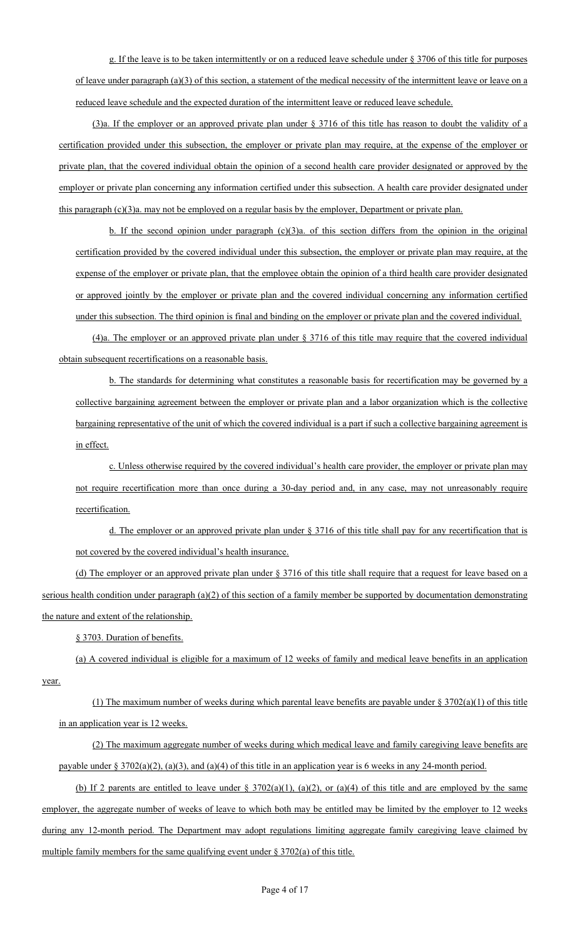g. If the leave is to be taken intermittently or on a reduced leave schedule under § 3706 of this title for purposes of leave under paragraph (a)(3) of this section, a statement of the medical necessity of the intermittent leave or leave on a reduced leave schedule and the expected duration of the intermittent leave or reduced leave schedule.

(3)a. If the employer or an approved private plan under § 3716 of this title has reason to doubt the validity of a certification provided under this subsection, the employer or private plan may require, at the expense of the employer or private plan, that the covered individual obtain the opinion of a second health care provider designated or approved by the employer or private plan concerning any information certified under this subsection. A health care provider designated under this paragraph (c)(3)a. may not be employed on a regular basis by the employer, Department or private plan.

b. If the second opinion under paragraph  $(c)(3)a$ . of this section differs from the opinion in the original certification provided by the covered individual under this subsection, the employer or private plan may require, at the expense of the employer or private plan, that the employee obtain the opinion of a third health care provider designated or approved jointly by the employer or private plan and the covered individual concerning any information certified under this subsection. The third opinion is final and binding on the employer or private plan and the covered individual.

(4)a. The employer or an approved private plan under § 3716 of this title may require that the covered individual obtain subsequent recertifications on a reasonable basis.

b. The standards for determining what constitutes a reasonable basis for recertification may be governed by a collective bargaining agreement between the employer or private plan and a labor organization which is the collective bargaining representative of the unit of which the covered individual is a part if such a collective bargaining agreement is in effect.

c. Unless otherwise required by the covered individual's health care provider, the employer or private plan may not require recertification more than once during a 30-day period and, in any case, may not unreasonably require recertification.

d. The employer or an approved private plan under § 3716 of this title shall pay for any recertification that is not covered by the covered individual's health insurance.

(d) The employer or an approved private plan under § 3716 of this title shall require that a request for leave based on a serious health condition under paragraph (a)(2) of this section of a family member be supported by documentation demonstrating the nature and extent of the relationship.

§ 3703. Duration of benefits.

(a) A covered individual is eligible for a maximum of 12 weeks of family and medical leave benefits in an application year.

(1) The maximum number of weeks during which parental leave benefits are payable under  $\S 3702(a)(1)$  of this title in an application year is 12 weeks.

(2) The maximum aggregate number of weeks during which medical leave and family caregiving leave benefits are payable under § 3702(a)(2), (a)(3), and (a)(4) of this title in an application year is 6 weeks in any 24-month period.

(b) If 2 parents are entitled to leave under  $\S 3702(a)(1)$ , (a)(2), or (a)(4) of this title and are employed by the same employer, the aggregate number of weeks of leave to which both may be entitled may be limited by the employer to 12 weeks during any 12-month period. The Department may adopt regulations limiting aggregate family caregiving leave claimed by multiple family members for the same qualifying event under § 3702(a) of this title.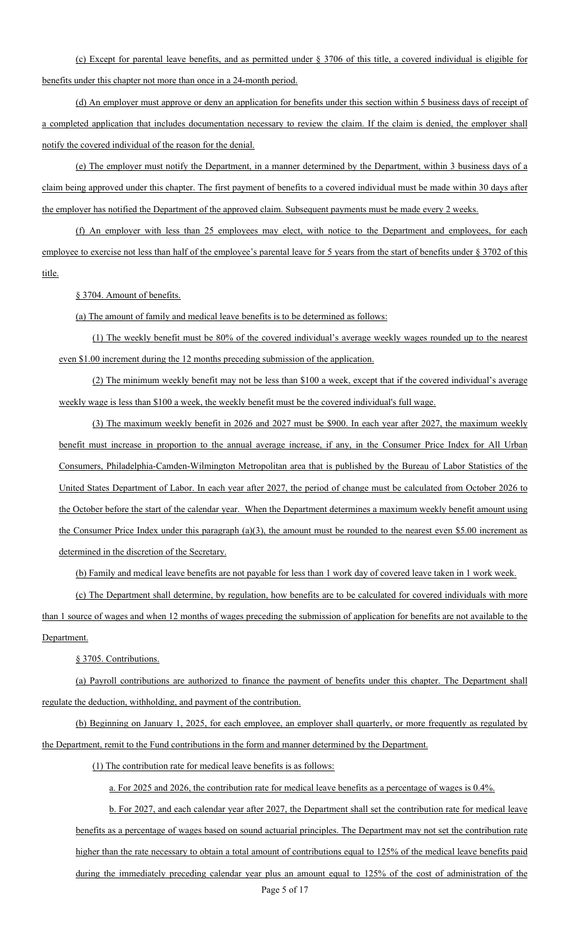(c) Except for parental leave benefits, and as permitted under § 3706 of this title, a covered individual is eligible for benefits under this chapter not more than once in a 24-month period.

(d) An employer must approve or deny an application for benefits under this section within 5 business days of receipt of a completed application that includes documentation necessary to review the claim. If the claim is denied, the employer shall notify the covered individual of the reason for the denial.

(e) The employer must notify the Department, in a manner determined by the Department, within 3 business days of a claim being approved under this chapter. The first payment of benefits to a covered individual must be made within 30 days after the employer has notified the Department of the approved claim. Subsequent payments must be made every 2 weeks.

(f) An employer with less than 25 employees may elect, with notice to the Department and employees, for each employee to exercise not less than half of the employee's parental leave for 5 years from the start of benefits under § 3702 of this title.

§ 3704. Amount of benefits.

(a) The amount of family and medical leave benefits is to be determined as follows:

(1) The weekly benefit must be 80% of the covered individual's average weekly wages rounded up to the nearest even \$1.00 increment during the 12 months preceding submission of the application.

(2) The minimum weekly benefit may not be less than \$100 a week, except that if the covered individual's average weekly wage is less than \$100 a week, the weekly benefit must be the covered individual's full wage.

(3) The maximum weekly benefit in 2026 and 2027 must be \$900. In each year after 2027, the maximum weekly benefit must increase in proportion to the annual average increase, if any, in the Consumer Price Index for All Urban Consumers, Philadelphia-Camden-Wilmington Metropolitan area that is published by the Bureau of Labor Statistics of the United States Department of Labor. In each year after 2027, the period of change must be calculated from October 2026 to the October before the start of the calendar year. When the Department determines a maximum weekly benefit amount using the Consumer Price Index under this paragraph (a)(3), the amount must be rounded to the nearest even \$5.00 increment as determined in the discretion of the Secretary.

(b) Family and medical leave benefits are not payable for less than 1 work day of covered leave taken in 1 work week.

(c) The Department shall determine, by regulation, how benefits are to be calculated for covered individuals with more than 1 source of wages and when 12 months of wages preceding the submission of application for benefits are not available to the Department.

§ 3705. Contributions.

(a) Payroll contributions are authorized to finance the payment of benefits under this chapter. The Department shall regulate the deduction, withholding, and payment of the contribution.

(b) Beginning on January 1, 2025, for each employee, an employer shall quarterly, or more frequently as regulated by the Department, remit to the Fund contributions in the form and manner determined by the Department.

(1) The contribution rate for medical leave benefits is as follows:

a. For 2025 and 2026, the contribution rate for medical leave benefits as a percentage of wages is 0.4%.

Page 5 of 17 b. For 2027, and each calendar year after 2027, the Department shall set the contribution rate for medical leave benefits as a percentage of wages based on sound actuarial principles. The Department may not set the contribution rate higher than the rate necessary to obtain a total amount of contributions equal to 125% of the medical leave benefits paid during the immediately preceding calendar year plus an amount equal to 125% of the cost of administration of the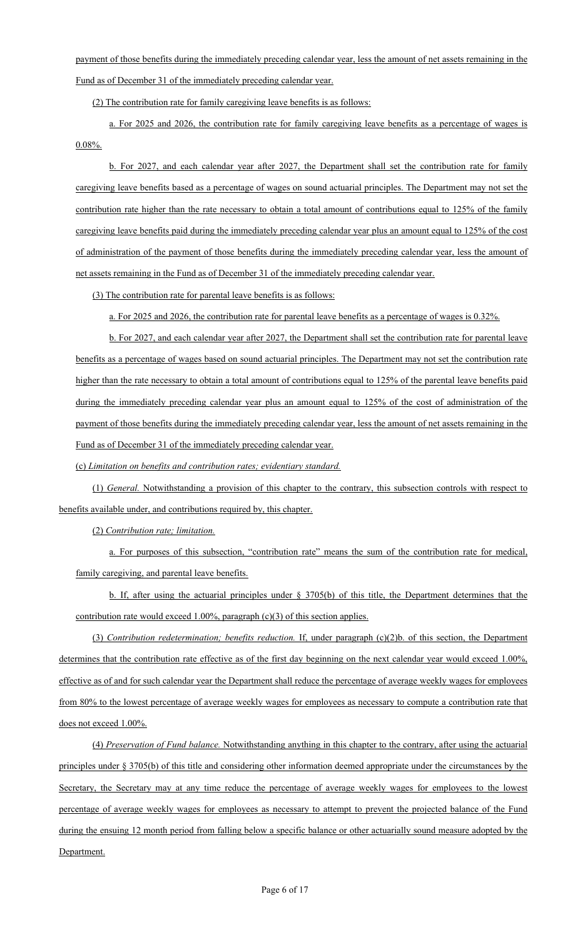payment of those benefits during the immediately preceding calendar year, less the amount of net assets remaining in the Fund as of December 31 of the immediately preceding calendar year.

(2) The contribution rate for family caregiving leave benefits is as follows:

a. For 2025 and 2026, the contribution rate for family caregiving leave benefits as a percentage of wages is 0.08%.

b. For 2027, and each calendar year after 2027, the Department shall set the contribution rate for family caregiving leave benefits based as a percentage of wages on sound actuarial principles. The Department may not set the contribution rate higher than the rate necessary to obtain a total amount of contributions equal to 125% of the family caregiving leave benefits paid during the immediately preceding calendar year plus an amount equal to 125% of the cost of administration of the payment of those benefits during the immediately preceding calendar year, less the amount of net assets remaining in the Fund as of December 31 of the immediately preceding calendar year.

(3) The contribution rate for parental leave benefits is as follows:

a. For 2025 and 2026, the contribution rate for parental leave benefits as a percentage of wages is 0.32%.

b. For 2027, and each calendar year after 2027, the Department shall set the contribution rate for parental leave benefits as a percentage of wages based on sound actuarial principles. The Department may not set the contribution rate higher than the rate necessary to obtain a total amount of contributions equal to 125% of the parental leave benefits paid during the immediately preceding calendar year plus an amount equal to 125% of the cost of administration of the payment of those benefits during the immediately preceding calendar year, less the amount of net assets remaining in the Fund as of December 31 of the immediately preceding calendar year.

(c) *Limitation on benefits and contribution rates; evidentiary standard.*

(1) *General.* Notwithstanding a provision of this chapter to the contrary, this subsection controls with respect to benefits available under, and contributions required by, this chapter.

(2) *Contribution rate; limitation.*

a. For purposes of this subsection, "contribution rate" means the sum of the contribution rate for medical, family caregiving, and parental leave benefits.

b. If, after using the actuarial principles under § 3705(b) of this title, the Department determines that the contribution rate would exceed 1.00%, paragraph (c)(3) of this section applies.

(3) *Contribution redetermination; benefits reduction.* If, under paragraph (c)(2)b. of this section, the Department determines that the contribution rate effective as of the first day beginning on the next calendar year would exceed 1.00%, effective as of and for such calendar year the Department shall reduce the percentage of average weekly wages for employees from 80% to the lowest percentage of average weekly wages for employees as necessary to compute a contribution rate that does not exceed 1.00%.

(4) *Preservation of Fund balance.* Notwithstanding anything in this chapter to the contrary, after using the actuarial principles under § 3705(b) of this title and considering other information deemed appropriate under the circumstances by the Secretary, the Secretary may at any time reduce the percentage of average weekly wages for employees to the lowest percentage of average weekly wages for employees as necessary to attempt to prevent the projected balance of the Fund during the ensuing 12 month period from falling below a specific balance or other actuarially sound measure adopted by the Department.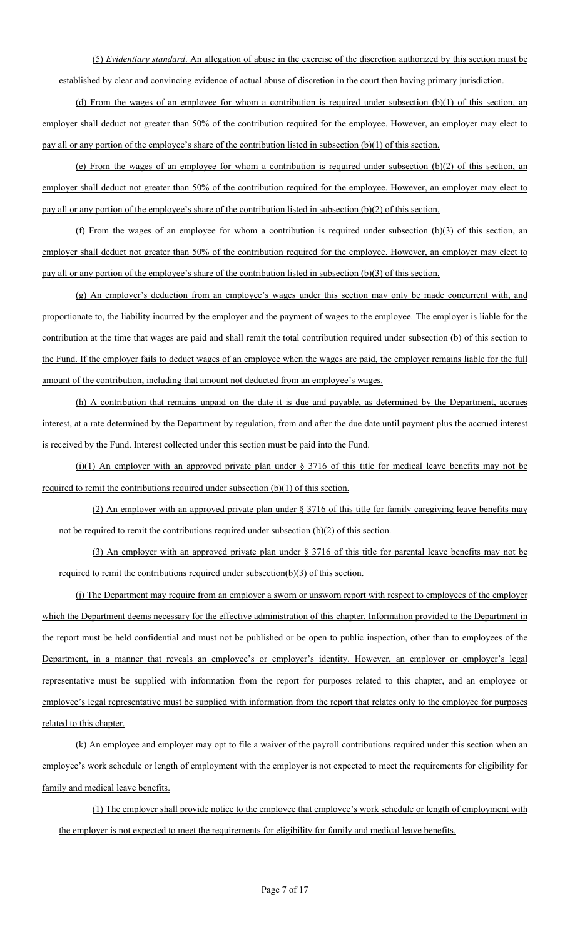(5) *Evidentiary standard*. An allegation of abuse in the exercise of the discretion authorized by this section must be established by clear and convincing evidence of actual abuse of discretion in the court then having primary jurisdiction.

(d) From the wages of an employee for whom a contribution is required under subsection (b)(1) of this section, an employer shall deduct not greater than 50% of the contribution required for the employee. However, an employer may elect to pay all or any portion of the employee's share of the contribution listed in subsection (b)(1) of this section.

(e) From the wages of an employee for whom a contribution is required under subsection (b)(2) of this section, an employer shall deduct not greater than 50% of the contribution required for the employee. However, an employer may elect to pay all or any portion of the employee's share of the contribution listed in subsection (b)(2) of this section.

(f) From the wages of an employee for whom a contribution is required under subsection (b)(3) of this section, an employer shall deduct not greater than 50% of the contribution required for the employee. However, an employer may elect to pay all or any portion of the employee's share of the contribution listed in subsection (b)(3) of this section.

(g) An employer's deduction from an employee's wages under this section may only be made concurrent with, and proportionate to, the liability incurred by the employer and the payment of wages to the employee. The employer is liable for the contribution at the time that wages are paid and shall remit the total contribution required under subsection (b) of this section to the Fund. If the employer fails to deduct wages of an employee when the wages are paid, the employer remains liable for the full amount of the contribution, including that amount not deducted from an employee's wages.

(h) A contribution that remains unpaid on the date it is due and payable, as determined by the Department, accrues interest, at a rate determined by the Department by regulation, from and after the due date until payment plus the accrued interest is received by the Fund. Interest collected under this section must be paid into the Fund.

(i)(1) An employer with an approved private plan under  $\S 3716$  of this title for medical leave benefits may not be required to remit the contributions required under subsection (b)(1) of this section.

(2) An employer with an approved private plan under § 3716 of this title for family caregiving leave benefits may not be required to remit the contributions required under subsection (b)(2) of this section.

(3) An employer with an approved private plan under § 3716 of this title for parental leave benefits may not be required to remit the contributions required under subsection(b)(3) of this section.

(j) The Department may require from an employer a sworn or unsworn report with respect to employees of the employer which the Department deems necessary for the effective administration of this chapter. Information provided to the Department in the report must be held confidential and must not be published or be open to public inspection, other than to employees of the Department, in a manner that reveals an employee's or employer's identity. However, an employer or employer's legal representative must be supplied with information from the report for purposes related to this chapter, and an employee or employee's legal representative must be supplied with information from the report that relates only to the employee for purposes related to this chapter.

(k) An employee and employer may opt to file a waiver of the payroll contributions required under this section when an employee's work schedule or length of employment with the employer is not expected to meet the requirements for eligibility for family and medical leave benefits.

(1) The employer shall provide notice to the employee that employee's work schedule or length of employment with the employer is not expected to meet the requirements for eligibility for family and medical leave benefits.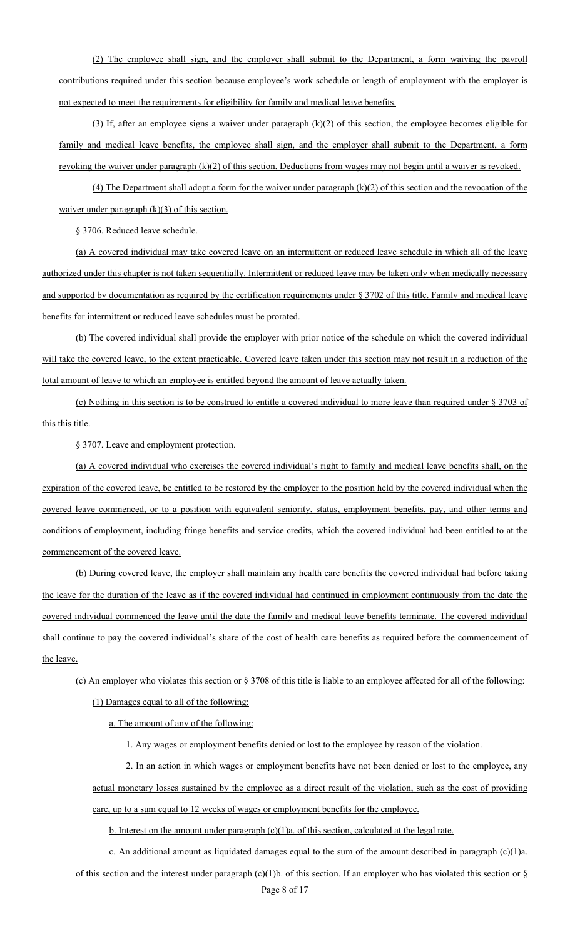(2) The employee shall sign, and the employer shall submit to the Department, a form waiving the payroll contributions required under this section because employee's work schedule or length of employment with the employer is not expected to meet the requirements for eligibility for family and medical leave benefits.

(3) If, after an employee signs a waiver under paragraph  $(k)(2)$  of this section, the employee becomes eligible for family and medical leave benefits, the employee shall sign, and the employer shall submit to the Department, a form revoking the waiver under paragraph (k)(2) of this section. Deductions from wages may not begin until a waiver is revoked.

(4) The Department shall adopt a form for the waiver under paragraph  $(k)(2)$  of this section and the revocation of the waiver under paragraph  $(k)(3)$  of this section.

§ 3706. Reduced leave schedule.

(a) A covered individual may take covered leave on an intermittent or reduced leave schedule in which all of the leave authorized under this chapter is not taken sequentially. Intermittent or reduced leave may be taken only when medically necessary and supported by documentation as required by the certification requirements under § 3702 of this title. Family and medical leave benefits for intermittent or reduced leave schedules must be prorated.

(b) The covered individual shall provide the employer with prior notice of the schedule on which the covered individual will take the covered leave, to the extent practicable. Covered leave taken under this section may not result in a reduction of the total amount of leave to which an employee is entitled beyond the amount of leave actually taken.

(c) Nothing in this section is to be construed to entitle a covered individual to more leave than required under § 3703 of this this title.

§ 3707. Leave and employment protection.

(a) A covered individual who exercises the covered individual's right to family and medical leave benefits shall, on the expiration of the covered leave, be entitled to be restored by the employer to the position held by the covered individual when the covered leave commenced, or to a position with equivalent seniority, status, employment benefits, pay, and other terms and conditions of employment, including fringe benefits and service credits, which the covered individual had been entitled to at the commencement of the covered leave.

(b) During covered leave, the employer shall maintain any health care benefits the covered individual had before taking the leave for the duration of the leave as if the covered individual had continued in employment continuously from the date the covered individual commenced the leave until the date the family and medical leave benefits terminate. The covered individual shall continue to pay the covered individual's share of the cost of health care benefits as required before the commencement of the leave.

(c) An employer who violates this section or § 3708 of this title is liable to an employee affected for all of the following: (1) Damages equal to all of the following:

a. The amount of any of the following:

1. Any wages or employment benefits denied or lost to the employee by reason of the violation.

2. In an action in which wages or employment benefits have not been denied or lost to the employee, any actual monetary losses sustained by the employee as a direct result of the violation, such as the cost of providing care, up to a sum equal to 12 weeks of wages or employment benefits for the employee.

b. Interest on the amount under paragraph (c)(1)a. of this section, calculated at the legal rate.

c. An additional amount as liquidated damages equal to the sum of the amount described in paragraph  $(c)(1)a$ .

of this section and the interest under paragraph (c)(1)b. of this section. If an employer who has violated this section or  $\S$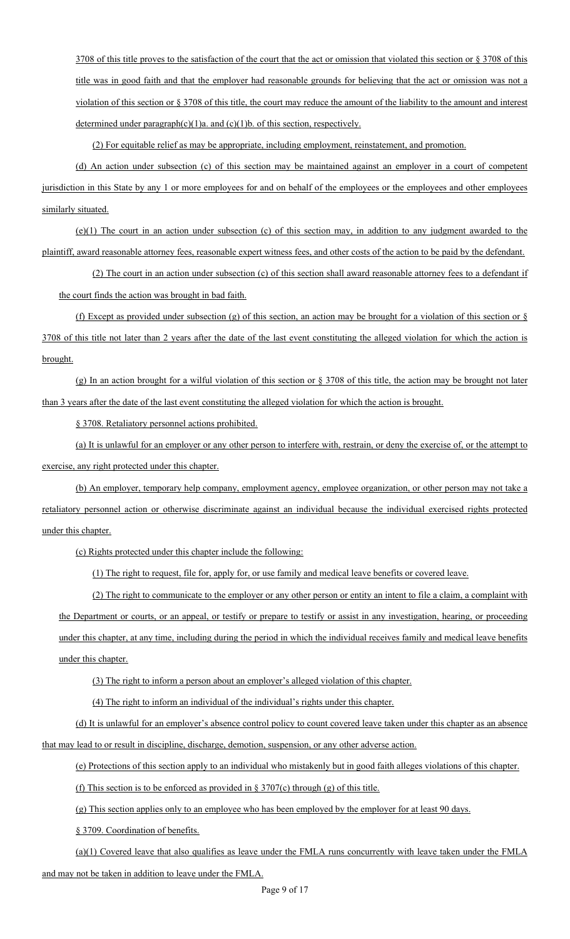3708 of this title proves to the satisfaction of the court that the act or omission that violated this section or § 3708 of this title was in good faith and that the employer had reasonable grounds for believing that the act or omission was not a violation of this section or § 3708 of this title, the court may reduce the amount of the liability to the amount and interest determined under paragraph $(c)(1)a$ . and  $(c)(1)b$ . of this section, respectively.

(2) For equitable relief as may be appropriate, including employment, reinstatement, and promotion.

(d) An action under subsection (c) of this section may be maintained against an employer in a court of competent jurisdiction in this State by any 1 or more employees for and on behalf of the employees or the employees and other employees similarly situated.

(e)(1) The court in an action under subsection (c) of this section may, in addition to any judgment awarded to the plaintiff, award reasonable attorney fees, reasonable expert witness fees, and other costs of the action to be paid by the defendant.

(2) The court in an action under subsection (c) of this section shall award reasonable attorney fees to a defendant if the court finds the action was brought in bad faith.

(f) Except as provided under subsection (g) of this section, an action may be brought for a violation of this section or  $\S$ 3708 of this title not later than 2 years after the date of the last event constituting the alleged violation for which the action is brought.

(g) In an action brought for a wilful violation of this section or § 3708 of this title, the action may be brought not later than 3 years after the date of the last event constituting the alleged violation for which the action is brought.

§ 3708. Retaliatory personnel actions prohibited.

(a) It is unlawful for an employer or any other person to interfere with, restrain, or deny the exercise of, or the attempt to exercise, any right protected under this chapter.

(b) An employer, temporary help company, employment agency, employee organization, or other person may not take a retaliatory personnel action or otherwise discriminate against an individual because the individual exercised rights protected under this chapter.

(c) Rights protected under this chapter include the following:

(1) The right to request, file for, apply for, or use family and medical leave benefits or covered leave.

(2) The right to communicate to the employer or any other person or entity an intent to file a claim, a complaint with the Department or courts, or an appeal, or testify or prepare to testify or assist in any investigation, hearing, or proceeding under this chapter, at any time, including during the period in which the individual receives family and medical leave benefits under this chapter.

(3) The right to inform a person about an employer's alleged violation of this chapter.

(4) The right to inform an individual of the individual's rights under this chapter.

(d) It is unlawful for an employer's absence control policy to count covered leave taken under this chapter as an absence that may lead to or result in discipline, discharge, demotion, suspension, or any other adverse action.

(e) Protections of this section apply to an individual who mistakenly but in good faith alleges violations of this chapter.

(f) This section is to be enforced as provided in  $\S 3707(c)$  through (g) of this title.

(g) This section applies only to an employee who has been employed by the employer for at least 90 days.

§ 3709. Coordination of benefits.

(a)(1) Covered leave that also qualifies as leave under the FMLA runs concurrently with leave taken under the FMLA and may not be taken in addition to leave under the FMLA.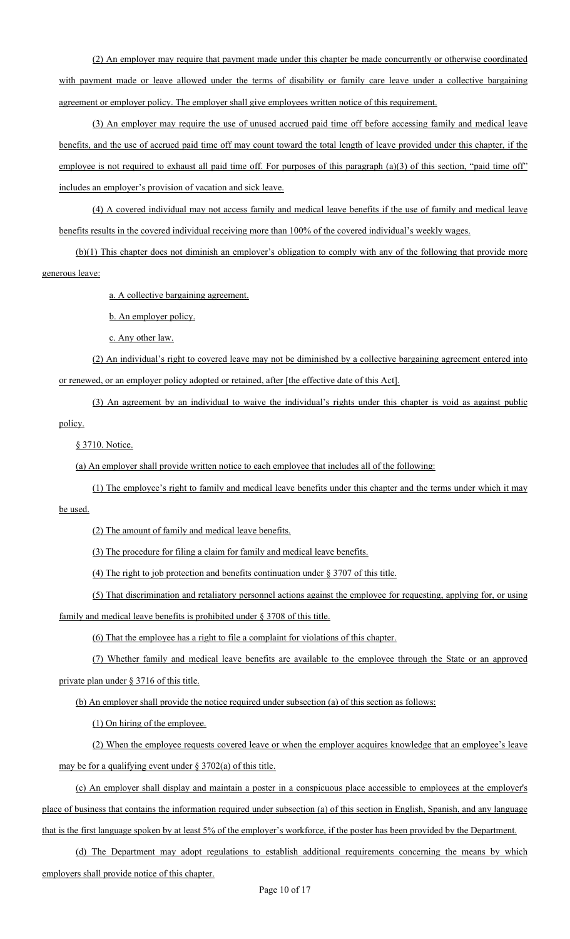(2) An employer may require that payment made under this chapter be made concurrently or otherwise coordinated with payment made or leave allowed under the terms of disability or family care leave under a collective bargaining agreement or employer policy. The employer shall give employees written notice of this requirement.

(3) An employer may require the use of unused accrued paid time off before accessing family and medical leave benefits, and the use of accrued paid time off may count toward the total length of leave provided under this chapter, if the employee is not required to exhaust all paid time off. For purposes of this paragraph (a)(3) of this section, "paid time off" includes an employer's provision of vacation and sick leave.

(4) A covered individual may not access family and medical leave benefits if the use of family and medical leave benefits results in the covered individual receiving more than 100% of the covered individual's weekly wages.

(b)(1) This chapter does not diminish an employer's obligation to comply with any of the following that provide more generous leave:

a. A collective bargaining agreement.

b. An employer policy.

c. Any other law.

(2) An individual's right to covered leave may not be diminished by a collective bargaining agreement entered into or renewed, or an employer policy adopted or retained, after [the effective date of this Act].

(3) An agreement by an individual to waive the individual's rights under this chapter is void as against public policy.

§ 3710. Notice.

(a) An employer shall provide written notice to each employee that includes all of the following:

(1) The employee's right to family and medical leave benefits under this chapter and the terms under which it may

be used.

(2) The amount of family and medical leave benefits.

(3) The procedure for filing a claim for family and medical leave benefits.

(4) The right to job protection and benefits continuation under § 3707 of this title.

(5) That discrimination and retaliatory personnel actions against the employee for requesting, applying for, or using

family and medical leave benefits is prohibited under § 3708 of this title.

(6) That the employee has a right to file a complaint for violations of this chapter.

(7) Whether family and medical leave benefits are available to the employee through the State or an approved private plan under § 3716 of this title.

(b) An employer shall provide the notice required under subsection (a) of this section as follows:

(1) On hiring of the employee.

(2) When the employee requests covered leave or when the employer acquires knowledge that an employee's leave may be for a qualifying event under  $\S 3702(a)$  of this title.

(c) An employer shall display and maintain a poster in a conspicuous place accessible to employees at the employer's place of business that contains the information required under subsection (a) of this section in English, Spanish, and any language that is the first language spoken by at least 5% of the employer's workforce, if the poster has been provided by the Department.

(d) The Department may adopt regulations to establish additional requirements concerning the means by which employers shall provide notice of this chapter.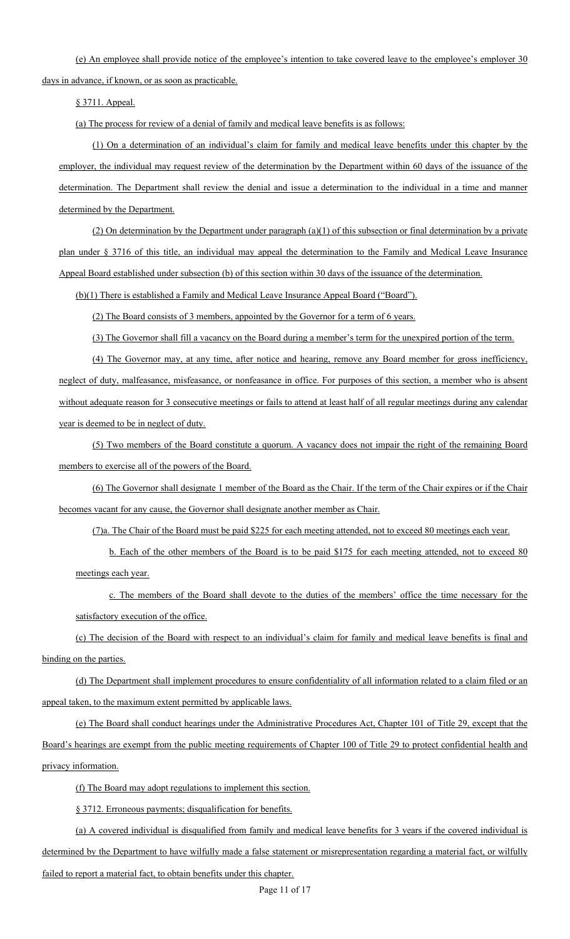(e) An employee shall provide notice of the employee's intention to take covered leave to the employee's employer 30

days in advance, if known, or as soon as practicable.

§ 3711. Appeal.

(a) The process for review of a denial of family and medical leave benefits is as follows:

(1) On a determination of an individual's claim for family and medical leave benefits under this chapter by the employer, the individual may request review of the determination by the Department within 60 days of the issuance of the determination. The Department shall review the denial and issue a determination to the individual in a time and manner determined by the Department.

 $(2)$  On determination by the Department under paragraph  $(a)(1)$  of this subsection or final determination by a private plan under § 3716 of this title, an individual may appeal the determination to the Family and Medical Leave Insurance Appeal Board established under subsection (b) of this section within 30 days of the issuance of the determination.

(b)(1) There is established a Family and Medical Leave Insurance Appeal Board ("Board").

(2) The Board consists of 3 members, appointed by the Governor for a term of 6 years.

(3) The Governor shall fill a vacancy on the Board during a member's term for the unexpired portion of the term.

(4) The Governor may, at any time, after notice and hearing, remove any Board member for gross inefficiency, neglect of duty, malfeasance, misfeasance, or nonfeasance in office. For purposes of this section, a member who is absent without adequate reason for 3 consecutive meetings or fails to attend at least half of all regular meetings during any calendar year is deemed to be in neglect of duty.

(5) Two members of the Board constitute a quorum. A vacancy does not impair the right of the remaining Board members to exercise all of the powers of the Board.

(6) The Governor shall designate 1 member of the Board as the Chair. If the term of the Chair expires or if the Chair becomes vacant for any cause, the Governor shall designate another member as Chair.

(7)a. The Chair of the Board must be paid \$225 for each meeting attended, not to exceed 80 meetings each year.

b. Each of the other members of the Board is to be paid \$175 for each meeting attended, not to exceed 80 meetings each year.

c. The members of the Board shall devote to the duties of the members' office the time necessary for the satisfactory execution of the office.

(c) The decision of the Board with respect to an individual's claim for family and medical leave benefits is final and binding on the parties.

(d) The Department shall implement procedures to ensure confidentiality of all information related to a claim filed or an appeal taken, to the maximum extent permitted by applicable laws.

(e) The Board shall conduct hearings under the Administrative Procedures Act, Chapter 101 of Title 29, except that the Board's hearings are exempt from the public meeting requirements of Chapter 100 of Title 29 to protect confidential health and privacy information.

(f) The Board may adopt regulations to implement this section.

§ 3712. Erroneous payments; disqualification for benefits.

(a) A covered individual is disqualified from family and medical leave benefits for 3 years if the covered individual is determined by the Department to have wilfully made a false statement or misrepresentation regarding a material fact, or wilfully failed to report a material fact, to obtain benefits under this chapter.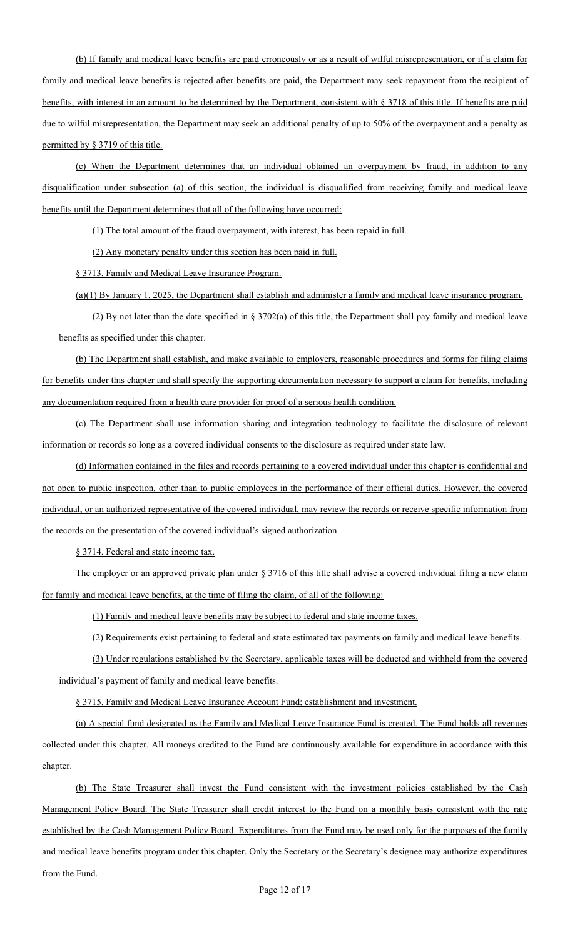(b) If family and medical leave benefits are paid erroneously or as a result of wilful misrepresentation, or if a claim for family and medical leave benefits is rejected after benefits are paid, the Department may seek repayment from the recipient of benefits, with interest in an amount to be determined by the Department, consistent with § 3718 of this title. If benefits are paid due to wilful misrepresentation, the Department may seek an additional penalty of up to 50% of the overpayment and a penalty as permitted by § 3719 of this title.

(c) When the Department determines that an individual obtained an overpayment by fraud, in addition to any disqualification under subsection (a) of this section, the individual is disqualified from receiving family and medical leave benefits until the Department determines that all of the following have occurred:

(1) The total amount of the fraud overpayment, with interest, has been repaid in full.

(2) Any monetary penalty under this section has been paid in full.

§ 3713. Family and Medical Leave Insurance Program.

(a)(1) By January 1, 2025, the Department shall establish and administer a family and medical leave insurance program.

(2) By not later than the date specified in  $\S 3702(a)$  of this title, the Department shall pay family and medical leave benefits as specified under this chapter.

(b) The Department shall establish, and make available to employers, reasonable procedures and forms for filing claims for benefits under this chapter and shall specify the supporting documentation necessary to support a claim for benefits, including any documentation required from a health care provider for proof of a serious health condition.

(c) The Department shall use information sharing and integration technology to facilitate the disclosure of relevant information or records so long as a covered individual consents to the disclosure as required under state law.

(d) Information contained in the files and records pertaining to a covered individual under this chapter is confidential and not open to public inspection, other than to public employees in the performance of their official duties. However, the covered individual, or an authorized representative of the covered individual, may review the records or receive specific information from the records on the presentation of the covered individual's signed authorization.

§ 3714. Federal and state income tax.

The employer or an approved private plan under § 3716 of this title shall advise a covered individual filing a new claim for family and medical leave benefits, at the time of filing the claim, of all of the following:

(1) Family and medical leave benefits may be subject to federal and state income taxes.

(2) Requirements exist pertaining to federal and state estimated tax payments on family and medical leave benefits.

(3) Under regulations established by the Secretary, applicable taxes will be deducted and withheld from the covered individual's payment of family and medical leave benefits.

§ 3715. Family and Medical Leave Insurance Account Fund; establishment and investment.

(a) A special fund designated as the Family and Medical Leave Insurance Fund is created. The Fund holds all revenues collected under this chapter. All moneys credited to the Fund are continuously available for expenditure in accordance with this chapter.

(b) The State Treasurer shall invest the Fund consistent with the investment policies established by the Cash Management Policy Board. The State Treasurer shall credit interest to the Fund on a monthly basis consistent with the rate established by the Cash Management Policy Board. Expenditures from the Fund may be used only for the purposes of the family and medical leave benefits program under this chapter. Only the Secretary or the Secretary's designee may authorize expenditures from the Fund.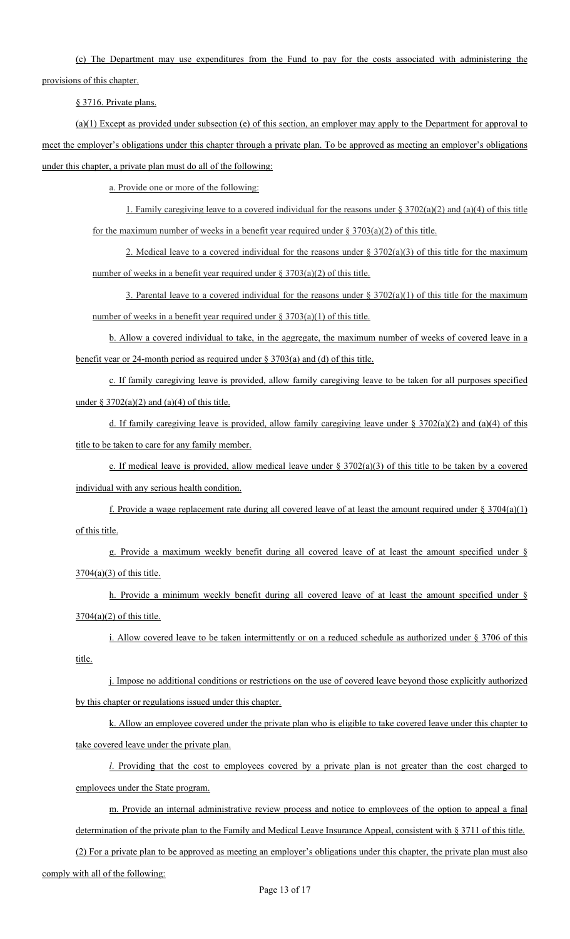(c) The Department may use expenditures from the Fund to pay for the costs associated with administering the

provisions of this chapter.

§ 3716. Private plans.

 $(a)(1)$  Except as provided under subsection (e) of this section, an employer may apply to the Department for approval to meet the employer's obligations under this chapter through a private plan. To be approved as meeting an employer's obligations under this chapter, a private plan must do all of the following:

a. Provide one or more of the following:

1. Family caregiving leave to a covered individual for the reasons under  $\S 3702(a)(2)$  and (a)(4) of this title for the maximum number of weeks in a benefit year required under  $\S 3703(a)(2)$  of this title.

2. Medical leave to a covered individual for the reasons under  $\S 3702(a)(3)$  of this title for the maximum number of weeks in a benefit year required under  $\S 3703(a)(2)$  of this title.

3. Parental leave to a covered individual for the reasons under  $\S 3702(a)(1)$  of this title for the maximum number of weeks in a benefit year required under  $\S 3703(a)(1)$  of this title.

b. Allow a covered individual to take, in the aggregate, the maximum number of weeks of covered leave in a benefit year or 24-month period as required under § 3703(a) and (d) of this title.

c. If family caregiving leave is provided, allow family caregiving leave to be taken for all purposes specified under  $\S 3702(a)(2)$  and  $(a)(4)$  of this title.

d. If family caregiving leave is provided, allow family caregiving leave under  $\S 3702(a)(2)$  and (a)(4) of this title to be taken to care for any family member.

e. If medical leave is provided, allow medical leave under  $\S 3702(a)(3)$  of this title to be taken by a covered individual with any serious health condition.

f. Provide a wage replacement rate during all covered leave of at least the amount required under  $\S 3704(a)(1)$ of this title.

g. Provide a maximum weekly benefit during all covered leave of at least the amount specified under § 3704(a)(3) of this title.

h. Provide a minimum weekly benefit during all covered leave of at least the amount specified under §  $3704(a)(2)$  of this title.

i. Allow covered leave to be taken intermittently or on a reduced schedule as authorized under § 3706 of this title.

j. Impose no additional conditions or restrictions on the use of covered leave beyond those explicitly authorized by this chapter or regulations issued under this chapter.

k. Allow an employee covered under the private plan who is eligible to take covered leave under this chapter to take covered leave under the private plan.

*l*. Providing that the cost to employees covered by a private plan is not greater than the cost charged to employees under the State program.

m. Provide an internal administrative review process and notice to employees of the option to appeal a final determination of the private plan to the Family and Medical Leave Insurance Appeal, consistent with § 3711 of this title.

(2) For a private plan to be approved as meeting an employer's obligations under this chapter, the private plan must also

comply with all of the following: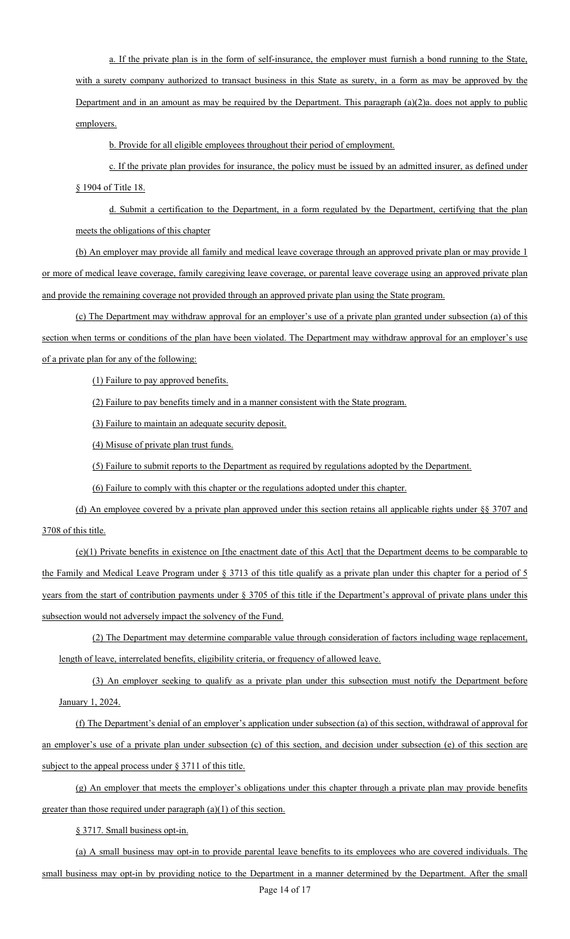a. If the private plan is in the form of self-insurance, the employer must furnish a bond running to the State, with a surety company authorized to transact business in this State as surety, in a form as may be approved by the Department and in an amount as may be required by the Department. This paragraph (a)(2)a. does not apply to public employers.

b. Provide for all eligible employees throughout their period of employment.

c. If the private plan provides for insurance, the policy must be issued by an admitted insurer, as defined under § 1904 of Title 18.

d. Submit a certification to the Department, in a form regulated by the Department, certifying that the plan meets the obligations of this chapter

(b) An employer may provide all family and medical leave coverage through an approved private plan or may provide 1 or more of medical leave coverage, family caregiving leave coverage, or parental leave coverage using an approved private plan and provide the remaining coverage not provided through an approved private plan using the State program.

(c) The Department may withdraw approval for an employer's use of a private plan granted under subsection (a) of this section when terms or conditions of the plan have been violated. The Department may withdraw approval for an employer's use of a private plan for any of the following:

(1) Failure to pay approved benefits.

(2) Failure to pay benefits timely and in a manner consistent with the State program.

(3) Failure to maintain an adequate security deposit.

(4) Misuse of private plan trust funds.

(5) Failure to submit reports to the Department as required by regulations adopted by the Department.

(6) Failure to comply with this chapter or the regulations adopted under this chapter.

(d) An employee covered by a private plan approved under this section retains all applicable rights under §§ 3707 and 3708 of this title.

 $(e)(1)$  Private benefits in existence on [the enactment date of this Act] that the Department deems to be comparable to the Family and Medical Leave Program under § 3713 of this title qualify as a private plan under this chapter for a period of 5 years from the start of contribution payments under § 3705 of this title if the Department's approval of private plans under this subsection would not adversely impact the solvency of the Fund.

(2) The Department may determine comparable value through consideration of factors including wage replacement, length of leave, interrelated benefits, eligibility criteria, or frequency of allowed leave.

(3) An employer seeking to qualify as a private plan under this subsection must notify the Department before January 1, 2024.

(f) The Department's denial of an employer's application under subsection (a) of this section, withdrawal of approval for an employer's use of a private plan under subsection (c) of this section, and decision under subsection (e) of this section are subject to the appeal process under § 3711 of this title.

(g) An employer that meets the employer's obligations under this chapter through a private plan may provide benefits greater than those required under paragraph (a)(1) of this section.

§ 3717. Small business opt-in.

(a) A small business may opt-in to provide parental leave benefits to its employees who are covered individuals. The small business may opt-in by providing notice to the Department in a manner determined by the Department. After the small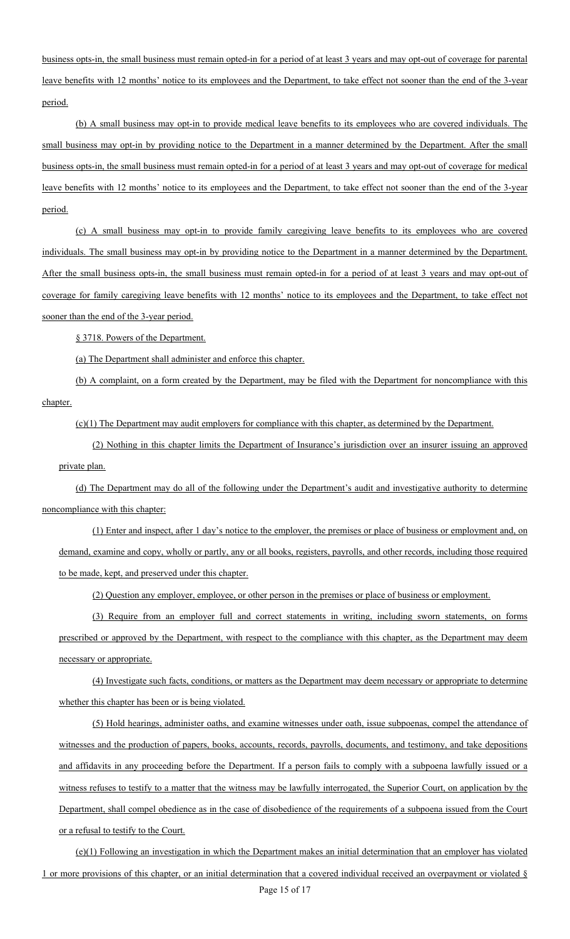business opts-in, the small business must remain opted-in for a period of at least 3 years and may opt-out of coverage for parental leave benefits with 12 months' notice to its employees and the Department, to take effect not sooner than the end of the 3-year period.

(b) A small business may opt-in to provide medical leave benefits to its employees who are covered individuals. The small business may opt-in by providing notice to the Department in a manner determined by the Department. After the small business opts-in, the small business must remain opted-in for a period of at least 3 years and may opt-out of coverage for medical leave benefits with 12 months' notice to its employees and the Department, to take effect not sooner than the end of the 3-year period.

(c) A small business may opt-in to provide family caregiving leave benefits to its employees who are covered individuals. The small business may opt-in by providing notice to the Department in a manner determined by the Department. After the small business opts-in, the small business must remain opted-in for a period of at least 3 years and may opt-out of coverage for family caregiving leave benefits with 12 months' notice to its employees and the Department, to take effect not sooner than the end of the 3-year period.

§ 3718. Powers of the Department.

(a) The Department shall administer and enforce this chapter.

(b) A complaint, on a form created by the Department, may be filed with the Department for noncompliance with this chapter.

 $(c)(1)$  The Department may audit employers for compliance with this chapter, as determined by the Department.

(2) Nothing in this chapter limits the Department of Insurance's jurisdiction over an insurer issuing an approved private plan.

(d) The Department may do all of the following under the Department's audit and investigative authority to determine noncompliance with this chapter:

(1) Enter and inspect, after 1 day's notice to the employer, the premises or place of business or employment and, on demand, examine and copy, wholly or partly, any or all books, registers, payrolls, and other records, including those required to be made, kept, and preserved under this chapter.

(2) Question any employer, employee, or other person in the premises or place of business or employment.

(3) Require from an employer full and correct statements in writing, including sworn statements, on forms prescribed or approved by the Department, with respect to the compliance with this chapter, as the Department may deem necessary or appropriate.

(4) Investigate such facts, conditions, or matters as the Department may deem necessary or appropriate to determine whether this chapter has been or is being violated.

(5) Hold hearings, administer oaths, and examine witnesses under oath, issue subpoenas, compel the attendance of witnesses and the production of papers, books, accounts, records, payrolls, documents, and testimony, and take depositions and affidavits in any proceeding before the Department. If a person fails to comply with a subpoena lawfully issued or a witness refuses to testify to a matter that the witness may be lawfully interrogated, the Superior Court, on application by the Department, shall compel obedience as in the case of disobedience of the requirements of a subpoena issued from the Court or a refusal to testify to the Court.

(e)(1) Following an investigation in which the Department makes an initial determination that an employer has violated 1 or more provisions of this chapter, or an initial determination that a covered individual received an overpayment or violated §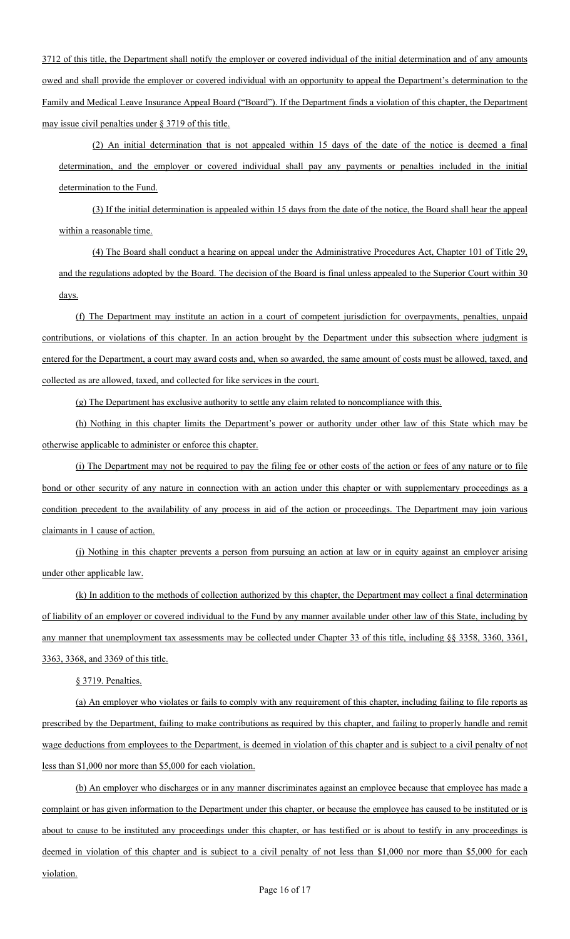3712 of this title, the Department shall notify the employer or covered individual of the initial determination and of any amounts owed and shall provide the employer or covered individual with an opportunity to appeal the Department's determination to the Family and Medical Leave Insurance Appeal Board ("Board"). If the Department finds a violation of this chapter, the Department may issue civil penalties under § 3719 of this title.

(2) An initial determination that is not appealed within 15 days of the date of the notice is deemed a final determination, and the employer or covered individual shall pay any payments or penalties included in the initial determination to the Fund.

(3) If the initial determination is appealed within 15 days from the date of the notice, the Board shall hear the appeal within a reasonable time.

(4) The Board shall conduct a hearing on appeal under the Administrative Procedures Act, Chapter 101 of Title 29, and the regulations adopted by the Board. The decision of the Board is final unless appealed to the Superior Court within 30 days.

(f) The Department may institute an action in a court of competent jurisdiction for overpayments, penalties, unpaid contributions, or violations of this chapter. In an action brought by the Department under this subsection where judgment is entered for the Department, a court may award costs and, when so awarded, the same amount of costs must be allowed, taxed, and collected as are allowed, taxed, and collected for like services in the court.

(g) The Department has exclusive authority to settle any claim related to noncompliance with this.

(h) Nothing in this chapter limits the Department's power or authority under other law of this State which may be otherwise applicable to administer or enforce this chapter.

(i) The Department may not be required to pay the filing fee or other costs of the action or fees of any nature or to file bond or other security of any nature in connection with an action under this chapter or with supplementary proceedings as a condition precedent to the availability of any process in aid of the action or proceedings. The Department may join various claimants in 1 cause of action.

(j) Nothing in this chapter prevents a person from pursuing an action at law or in equity against an employer arising under other applicable law.

(k) In addition to the methods of collection authorized by this chapter, the Department may collect a final determination of liability of an employer or covered individual to the Fund by any manner available under other law of this State, including by any manner that unemployment tax assessments may be collected under Chapter 33 of this title, including §§ 3358, 3360, 3361, 3363, 3368, and 3369 of this title.

§ 3719. Penalties.

(a) An employer who violates or fails to comply with any requirement of this chapter, including failing to file reports as prescribed by the Department, failing to make contributions as required by this chapter, and failing to properly handle and remit wage deductions from employees to the Department, is deemed in violation of this chapter and is subject to a civil penalty of not less than \$1,000 nor more than \$5,000 for each violation.

(b) An employer who discharges or in any manner discriminates against an employee because that employee has made a complaint or has given information to the Department under this chapter, or because the employee has caused to be instituted or is about to cause to be instituted any proceedings under this chapter, or has testified or is about to testify in any proceedings is deemed in violation of this chapter and is subject to a civil penalty of not less than \$1,000 nor more than \$5,000 for each violation.